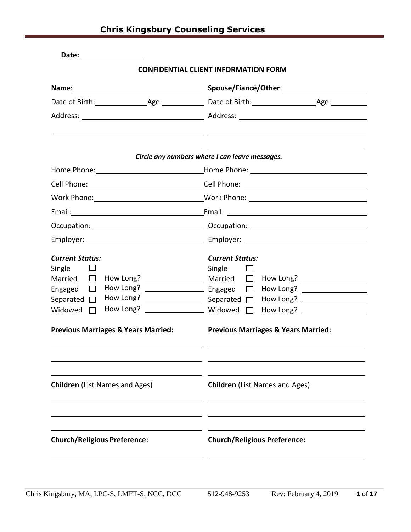|                                                                                                                                                               | <b>CONFIDENTIAL CLIENT INFORMATION FORM</b>                                                                                                                                                                                                                                                                                                                                                                                                                                                                      |
|---------------------------------------------------------------------------------------------------------------------------------------------------------------|------------------------------------------------------------------------------------------------------------------------------------------------------------------------------------------------------------------------------------------------------------------------------------------------------------------------------------------------------------------------------------------------------------------------------------------------------------------------------------------------------------------|
|                                                                                                                                                               |                                                                                                                                                                                                                                                                                                                                                                                                                                                                                                                  |
|                                                                                                                                                               |                                                                                                                                                                                                                                                                                                                                                                                                                                                                                                                  |
|                                                                                                                                                               |                                                                                                                                                                                                                                                                                                                                                                                                                                                                                                                  |
|                                                                                                                                                               | Circle any numbers where I can leave messages.                                                                                                                                                                                                                                                                                                                                                                                                                                                                   |
|                                                                                                                                                               |                                                                                                                                                                                                                                                                                                                                                                                                                                                                                                                  |
|                                                                                                                                                               | Cell Phone: Cell Phone: Cell Phone:                                                                                                                                                                                                                                                                                                                                                                                                                                                                              |
|                                                                                                                                                               | Work Phone: __________________________________Work Phone: ______________________                                                                                                                                                                                                                                                                                                                                                                                                                                 |
|                                                                                                                                                               |                                                                                                                                                                                                                                                                                                                                                                                                                                                                                                                  |
|                                                                                                                                                               |                                                                                                                                                                                                                                                                                                                                                                                                                                                                                                                  |
|                                                                                                                                                               |                                                                                                                                                                                                                                                                                                                                                                                                                                                                                                                  |
| <b>Current Status:</b><br>Single $\Box$<br>Married $\Box$<br>Engaged $\Box$<br>Separated $\square$<br>Widowed $\Box$<br><b>Children</b> (List Names and Ages) | <b>Current Status:</b><br>Single $\Box$<br>How Long? ____________________<br>How Long? $\frac{1}{2}$ $\frac{1}{2}$ $\frac{1}{2}$ $\frac{1}{2}$ $\frac{1}{2}$ $\frac{1}{2}$ $\frac{1}{2}$ $\frac{1}{2}$ $\frac{1}{2}$ $\frac{1}{2}$ $\frac{1}{2}$ $\frac{1}{2}$ $\frac{1}{2}$ $\frac{1}{2}$ $\frac{1}{2}$ $\frac{1}{2}$ $\frac{1}{2}$ $\frac{1}{2}$ $\frac{1}{2}$ $\frac{1}{2}$ $\frac{1}{2}$<br>Previous Marriages & Years Married: Previous Marriages & Years Married:<br><b>Children</b> (List Names and Ages) |
| <b>Church/Religious Preference:</b>                                                                                                                           | <b>Church/Religious Preference:</b>                                                                                                                                                                                                                                                                                                                                                                                                                                                                              |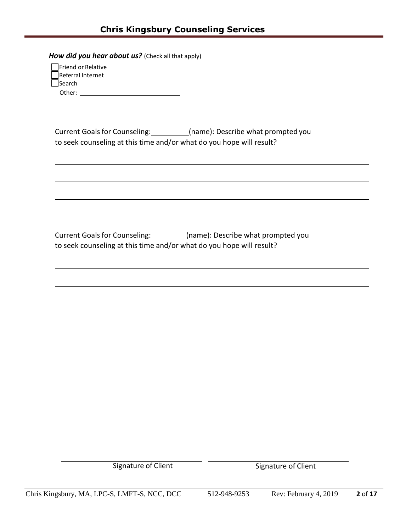*How did you hear about us?* (Check all that apply)

| Friend or Relative |  |
|--------------------|--|
| Referral Internet  |  |
| Search             |  |
| Other:             |  |

Current Goals for Counseling: \_\_\_\_\_\_\_\_\_\_(name): Describe what prompted you to seek counseling at this time and/or what do you hope will result?

Current Goals for Counseling: \_\_\_\_\_\_\_\_\_(name): Describe what prompted you to seek counseling at this time and/or what do you hope will result?

Signature of Client Signature of Client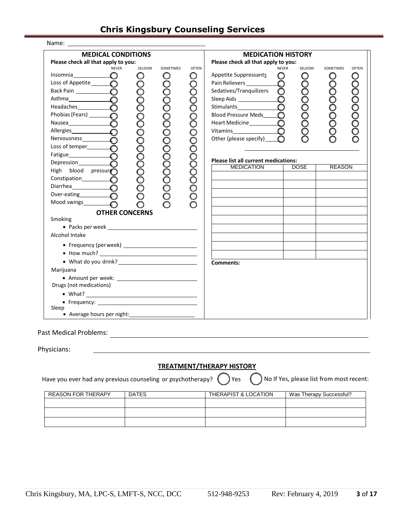| Name:                                                                                                                                                                                                                                                                                                                                                                                                                                                                                                                                     |                                                                                           |                              |                                                                                                                                                                                                                                                                                                                          |                                          |                            |              |
|-------------------------------------------------------------------------------------------------------------------------------------------------------------------------------------------------------------------------------------------------------------------------------------------------------------------------------------------------------------------------------------------------------------------------------------------------------------------------------------------------------------------------------------------|-------------------------------------------------------------------------------------------|------------------------------|--------------------------------------------------------------------------------------------------------------------------------------------------------------------------------------------------------------------------------------------------------------------------------------------------------------------------|------------------------------------------|----------------------------|--------------|
| <b>MEDICAL CONDITIONS</b><br>Please check all that apply to you:                                                                                                                                                                                                                                                                                                                                                                                                                                                                          |                                                                                           |                              | <b>MEDICATION HISTORY</b><br>Please check all that apply to you:                                                                                                                                                                                                                                                         |                                          |                            |              |
| <b>NEVER</b><br>Insomnia $\qquad \qquad \bigcirc$<br>Loss of Appetite <sub>10</sub><br>Back Pain<br>Headaches <b>COMPOS</b><br>Allergies <b>O</b><br>Loss of temper<br><b>O</b><br>Fatigue $\qquad \qquad \bullet$<br>High blood pressure<br>Constipation <b>Constitution</b><br>Diarrhea<br>Over-eating $\qquad \qquad \bigcirc$<br>Mood swings<br><b>O</b><br>Smoking<br>Alcohol Intake<br>• What do you drink?<br><u>• What do you drink?</u><br>Marijuana<br>Drugs (not medications)<br>Sleep<br>• Average hours per night: 1999 1999 | SELDOM<br>SOMETIMES<br>O<br>Ő<br>000000000000<br>000000000000000<br><b>OTHER CONCERNS</b> | <b>OFTEN</b><br>O<br>$\circ$ | <b>NEVER</b><br>Appetite Suppressants<br>O<br>Pain Relievers<br><u>Letter</u><br>O<br>Sedatives/Tranquilizers<br>$\circ$<br>Sleep Aids<br>$\circ$<br>O<br><b>Blood Pressure Meds</b><br>$\mathbf{\circ}$<br>$\circ$<br>Other (please specify)_<br>Please list all current medications:<br><b>MEDICATION</b><br>Comments: | SELDOM<br>Ő<br><b>DOSE</b>               | SOMETIMES<br><b>REASON</b> | <b>OFTEN</b> |
| Past Medical Problems:<br>Physicians:<br>Have you ever had any previous counseling or psychotherapy?                                                                                                                                                                                                                                                                                                                                                                                                                                      |                                                                                           |                              | <b>TREATMENT/THERAPY HISTORY</b><br>Yes                                                                                                                                                                                                                                                                                  | No If Yes, please list from most recent: |                            |              |
| <b>REASON FOR THERAPY</b>                                                                                                                                                                                                                                                                                                                                                                                                                                                                                                                 | <b>DATES</b>                                                                              |                              | <b>THERAPIST &amp; LOCATION</b>                                                                                                                                                                                                                                                                                          | Was Therapy Successful?                  |                            |              |
|                                                                                                                                                                                                                                                                                                                                                                                                                                                                                                                                           |                                                                                           |                              |                                                                                                                                                                                                                                                                                                                          |                                          |                            |              |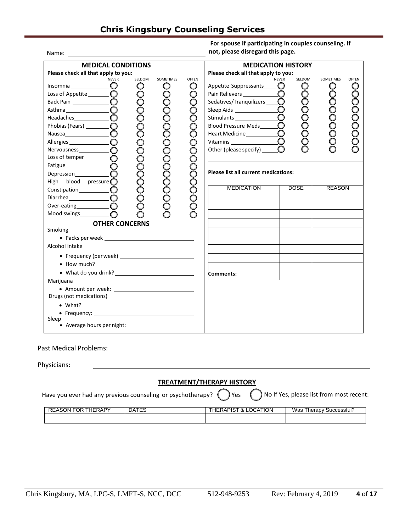Name:

| For spouse if participating in couples counseling. If |
|-------------------------------------------------------|
| not, please disregard this page.                      |

| <b>MEDICAL CONDITIONS</b><br>Please check all that apply to you:                                                                                                                                                                                                                                                                                                                                                                                                                                                                                                                                                                                                                                                                                                                                                                                                                                                                                                                       |                             |                                  |                                                           | <b>MEDICATION HISTORY</b><br>Please check all that apply to you:                                                                                                                                                                                                                                                                                                                                                                                                                                                                |                                                                                   |                            |              |
|----------------------------------------------------------------------------------------------------------------------------------------------------------------------------------------------------------------------------------------------------------------------------------------------------------------------------------------------------------------------------------------------------------------------------------------------------------------------------------------------------------------------------------------------------------------------------------------------------------------------------------------------------------------------------------------------------------------------------------------------------------------------------------------------------------------------------------------------------------------------------------------------------------------------------------------------------------------------------------------|-----------------------------|----------------------------------|-----------------------------------------------------------|---------------------------------------------------------------------------------------------------------------------------------------------------------------------------------------------------------------------------------------------------------------------------------------------------------------------------------------------------------------------------------------------------------------------------------------------------------------------------------------------------------------------------------|-----------------------------------------------------------------------------------|----------------------------|--------------|
| <b>NEVER</b><br>Insomnia $\_\_$<br>Loss of Appetite____________<br>Headaches $\bigcirc$<br>Phobias (Fears) _____________<br>Nausea<br><b>O</b><br>Loss of temper $\_\_\_\_$<br>Fatigue <b>COMPARENT COMPARENT COMPARENT COMPARENT</b><br>O<br>High blood pressure $\bigcirc$<br>Constipation <b>CONSUMPLE</b><br>Diarrhea <b>COMPOS</b><br>Over-eating $\qquad \qquad \bigcirc$<br>Mood swings $\qquad \qquad \bigcap$<br><b>OTHER CONCERNS</b><br>Smoking<br>Alcohol Intake<br>• What do you drink?<br><u>• What do you drink?</u><br>Marijuana<br>• Amount per week: <u>contained a series and a series of the series of the series of the series of the series of the series of the series of the series of the series of the series of the series of the series of the series of</u><br>Drugs (not medications)<br>• Frequency: 2008 2009 2010 2021 2022 2023 2024 2022 2022 2023 2024 2022 2023 2024 2022 2023 2024 2025 2026 20<br>Sleep<br>• Average hours per night: 1999 1999 | SELDOM<br>Ő<br>000000000000 | SOMETIMES<br>Ô<br>00000000000000 | <b>OFTEN</b><br>O<br>O<br>O<br>0<br>O<br>П<br>ŏ<br>COOOOO | <b>NEVER</b><br>Appetite Suppressants <b>ID</b><br>Sedatives/Tranquilizers _________<br>Stimulants<br><b>Blood Pressure Meds</b><br>Heart Medicine<br><u>Learne</u><br>Vitamins<br><u>Landon Maria Maria Maria Maria Maria Maria Maria Maria Maria Maria Maria Maria Maria Maria Maria Maria Maria Maria Maria Maria Maria Maria Maria Maria Maria Maria Maria Maria Maria Maria Maria Maria Maria Maria </u><br>Other (please specify)<br><b>Please list all current medications:</b><br><b>MEDICATION</b><br><b>Comments:</b> | SELDOM<br>$\circ$<br>$\circ$<br>Ŏ<br>$\circ$<br>$\circ$<br>$\circ$<br>O<br>DOSE I | SOMETIMES<br><b>REASON</b> | <b>OFTEN</b> |
| <b>Past Medical Problems:</b>                                                                                                                                                                                                                                                                                                                                                                                                                                                                                                                                                                                                                                                                                                                                                                                                                                                                                                                                                          |                             |                                  |                                                           |                                                                                                                                                                                                                                                                                                                                                                                                                                                                                                                                 |                                                                                   |                            |              |
| Physicians:                                                                                                                                                                                                                                                                                                                                                                                                                                                                                                                                                                                                                                                                                                                                                                                                                                                                                                                                                                            |                             |                                  |                                                           |                                                                                                                                                                                                                                                                                                                                                                                                                                                                                                                                 |                                                                                   |                            |              |

Have you ever had any previous counseling or psychotherapy?  $\bigcirc$  Yes  $\bigcirc$  No If Yes, please list from most recent:

| <b>HERAPY</b><br><b>REASON FOR</b> | <b>DATES</b> | LOCATION<br>HERAPIST.<br>0<br>$\alpha$ | Was<br>Therapy,<br>Successful's |
|------------------------------------|--------------|----------------------------------------|---------------------------------|
|                                    |              |                                        |                                 |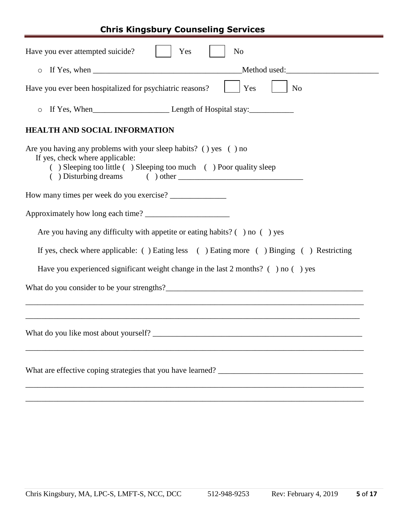| Have you ever attempted suicide?<br>Yes<br>N <sub>o</sub>                                                                                                                |  |  |  |  |
|--------------------------------------------------------------------------------------------------------------------------------------------------------------------------|--|--|--|--|
| Method used:<br>$\circ$                                                                                                                                                  |  |  |  |  |
| Have you ever been hospitalized for psychiatric reasons?<br>Yes<br>N <sub>o</sub>                                                                                        |  |  |  |  |
| $\circ$                                                                                                                                                                  |  |  |  |  |
| <b>HEALTH AND SOCIAL INFORMATION</b>                                                                                                                                     |  |  |  |  |
| Are you having any problems with your sleep habits? () yes () no<br>If yes, check where applicable:<br>() Sleeping too little () Sleeping too much () Poor quality sleep |  |  |  |  |
| How many times per week do you exercise?                                                                                                                                 |  |  |  |  |
|                                                                                                                                                                          |  |  |  |  |
| Are you having any difficulty with appetite or eating habits? $( )$ no $( )$ yes                                                                                         |  |  |  |  |
| If yes, check where applicable: () Eating less () Eating more () Binging () Restricting                                                                                  |  |  |  |  |
| Have you experienced significant weight change in the last $2$ months? ( $\cdot$ ) no ( $\cdot$ ) yes                                                                    |  |  |  |  |
| What do you consider to be your strengths?                                                                                                                               |  |  |  |  |
|                                                                                                                                                                          |  |  |  |  |
|                                                                                                                                                                          |  |  |  |  |
|                                                                                                                                                                          |  |  |  |  |

\_\_\_\_\_\_\_\_\_\_\_\_\_\_\_\_\_\_\_\_\_\_\_\_\_\_\_\_\_\_\_\_\_\_\_\_\_\_\_\_\_\_\_\_\_\_\_\_\_\_\_\_\_\_\_\_\_\_\_\_\_\_\_\_\_\_\_\_\_\_\_\_\_\_\_\_\_\_\_\_\_\_\_\_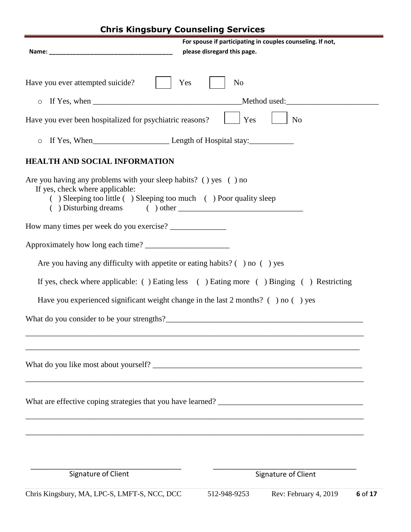| please disregard this page.<br>Have you ever attempted suicide?<br>Yes<br>N <sub>o</sub><br>$\circ$<br>Yes<br>N <sub>o</sub><br>Have you ever been hospitalized for psychiatric reasons?<br>$\circ$<br><b>HEALTH AND SOCIAL INFORMATION</b><br>Are you having any problems with your sleep habits? () yes () no<br>If yes, check where applicable:<br>() Sleeping too little () Sleeping too much () Poor quality sleep<br>How many times per week do you exercise?<br>Are you having any difficulty with appetite or eating habits? $($ $)$ no $($ $)$ yes<br>If yes, check where applicable: () Eating less () Eating more () Binging () Restricting<br>Have you experienced significant weight change in the last $2$ months? ( $\cdot$ ) no ( $\cdot$ ) yes |
|-----------------------------------------------------------------------------------------------------------------------------------------------------------------------------------------------------------------------------------------------------------------------------------------------------------------------------------------------------------------------------------------------------------------------------------------------------------------------------------------------------------------------------------------------------------------------------------------------------------------------------------------------------------------------------------------------------------------------------------------------------------------|
|                                                                                                                                                                                                                                                                                                                                                                                                                                                                                                                                                                                                                                                                                                                                                                 |
|                                                                                                                                                                                                                                                                                                                                                                                                                                                                                                                                                                                                                                                                                                                                                                 |
|                                                                                                                                                                                                                                                                                                                                                                                                                                                                                                                                                                                                                                                                                                                                                                 |
|                                                                                                                                                                                                                                                                                                                                                                                                                                                                                                                                                                                                                                                                                                                                                                 |
|                                                                                                                                                                                                                                                                                                                                                                                                                                                                                                                                                                                                                                                                                                                                                                 |
|                                                                                                                                                                                                                                                                                                                                                                                                                                                                                                                                                                                                                                                                                                                                                                 |
|                                                                                                                                                                                                                                                                                                                                                                                                                                                                                                                                                                                                                                                                                                                                                                 |
|                                                                                                                                                                                                                                                                                                                                                                                                                                                                                                                                                                                                                                                                                                                                                                 |
|                                                                                                                                                                                                                                                                                                                                                                                                                                                                                                                                                                                                                                                                                                                                                                 |
|                                                                                                                                                                                                                                                                                                                                                                                                                                                                                                                                                                                                                                                                                                                                                                 |
|                                                                                                                                                                                                                                                                                                                                                                                                                                                                                                                                                                                                                                                                                                                                                                 |
|                                                                                                                                                                                                                                                                                                                                                                                                                                                                                                                                                                                                                                                                                                                                                                 |
|                                                                                                                                                                                                                                                                                                                                                                                                                                                                                                                                                                                                                                                                                                                                                                 |
|                                                                                                                                                                                                                                                                                                                                                                                                                                                                                                                                                                                                                                                                                                                                                                 |
|                                                                                                                                                                                                                                                                                                                                                                                                                                                                                                                                                                                                                                                                                                                                                                 |
|                                                                                                                                                                                                                                                                                                                                                                                                                                                                                                                                                                                                                                                                                                                                                                 |
| What are effective coping strategies that you have learned?                                                                                                                                                                                                                                                                                                                                                                                                                                                                                                                                                                                                                                                                                                     |
|                                                                                                                                                                                                                                                                                                                                                                                                                                                                                                                                                                                                                                                                                                                                                                 |
| Signature of Client<br>Signature of Client                                                                                                                                                                                                                                                                                                                                                                                                                                                                                                                                                                                                                                                                                                                      |
|                                                                                                                                                                                                                                                                                                                                                                                                                                                                                                                                                                                                                                                                                                                                                                 |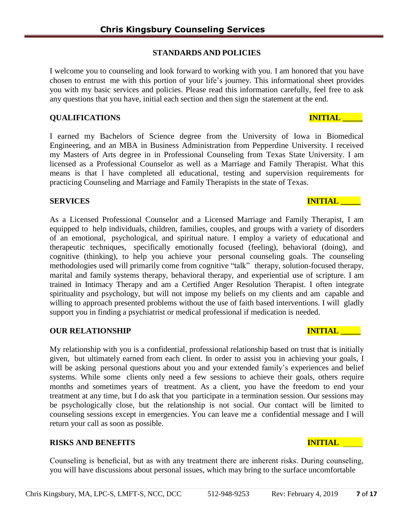# **STANDARDS AND POLICIES**

I welcome you to counseling and look forward to working with you. I am honored that you have chosen to entrust me with this portion of your life's journey. This informational sheet provides you with my basic services and policies. Please read this information carefully, feel free to ask any questions that you have, initial each section and then sign the statement at the end.

# **QUALIFICATIONS INITIAL \_\_\_\_\_**

I earned my Bachelors of Science degree from the University of Iowa in Biomedical Engineering, and an MBA in Business Administration from Pepperdine University. I received my Masters of Arts degree in in Professional Counseling from Texas State University. I am licensed as a Professional Counselor as well as a Marriage and Family Therapist. What this means is that l have completed all educational, testing and supervision requirements for practicing Counseling and Marriage and Family Therapists in the state of Texas.

# **SERVICES** INITIAL **INITIAL**

As a Licensed Professional Counselor and a Licensed Marriage and Family Therapist, I am equipped to help individuals, children, families, couples, and groups with a variety of disorders of an emotional, psychological, and spiritual nature. I employ a variety of educational and therapeutic techniques, specifically emotionally focused (feeling), behavioral (doing), and cognitive (thinking), to help you achieve your personal counseling goals. The counseling methodologies used will primarily come from cognitive "talk" therapy, solution-focused therapy, marital and family systems therapy, behavioral therapy, and experiential use of scripture. I am trained in Intimacy Therapy and am a Certified Anger Resolution Therapist. I often integrate spirituality and psychology, but will not impose my beliefs on my clients and am capable and willing to approach presented problems without the use of faith based interventions. I will gladly support you in finding a psychiatrist or medical professional if medication is needed.

# **OUR RELATIONSHIP INITIAL LETTER INITIAL LETTER INITIAL**

My relationship with you is a confidential, professional relationship based on trust that is initially given, but ultimately earned from each client. In order to assist you in achieving your goals, I will be asking personal questions about you and your extended family's experiences and belief systems. While some clients only need a few sessions to achieve their goals, others require months and sometimes years of treatment. As a client, you have the freedom to end your treatment at any time, but I do ask that you participate in a termination session. Our sessions may be psychologically close, but the relationship is not social. Our contact will be limited to counseling sessions except in emergencies. You can leave me a confidential message and I will return your call as soon as possible.

# **RISKS AND BENEFITS INITIAL**

Counseling is beneficial, but as with any treatment there are inherent risks. During counseling, you will have discussions about personal issues, which may bring to the surface uncomfortable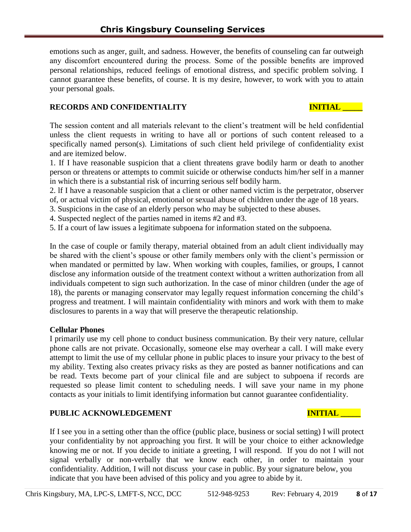emotions such as anger, guilt, and sadness. However, the benefits of counseling can far outweigh any discomfort encountered during the process. Some of the possible benefits are improved personal relationships, reduced feelings of emotional distress, and specific problem solving. I cannot guarantee these benefits, of course. It is my desire, however, to work with you to attain your personal goals.

## **RECORDS** AND CONFIDENTIALITY **INITIAL**

The session content and all materials relevant to the client's treatment will be held confidential unless the client requests in writing to have all or portions of such content released to a specifically named person(s). Limitations of such client held privilege of confidentiality exist and are itemized below.

1. If I have reasonable suspicion that a client threatens grave bodily harm or death to another person or threatens or attempts to commit suicide or otherwise conducts him/her self in a manner in which there is a substantial risk of incurring serious self bodily harm.

2. lf I have a reasonable suspicion that a client or other named victim is the perpetrator, observer of, or actual victim of physical, emotional or sexual abuse of children under the age of 18 years.

3. Suspicions in the case of an elderly person who may be subjected to these abuses.

4. Suspected neglect of the parties named in items #2 and #3.

5. If a court of law issues a legitimate subpoena for information stated on the subpoena.

In the case of couple or family therapy, material obtained from an adult client individually may be shared with the client's spouse or other family members only with the client's permission or when mandated or permitted by law. When working with couples, families, or groups, I cannot disclose any information outside of the treatment context without a written authorization from all individuals competent to sign such authorization. In the case of minor children (under the age of 18), the parents or managing conservator may legally request information concerning the child's progress and treatment. I will maintain confidentiality with minors and work with them to make disclosures to parents in a way that will preserve the therapeutic relationship.

## **Cellular Phones**

I primarily use my cell phone to conduct business communication. By their very nature, cellular phone calls are not private. Occasionally, someone else may overhear a call. I will make every attempt to limit the use of my cellular phone in public places to insure your privacy to the best of my ability. Texting also creates privacy risks as they are posted as banner notifications and can be read. Texts become part of your clinical file and are subject to subpoena if records are requested so please limit content to scheduling needs. I will save your name in my phone contacts as your initials to limit identifying information but cannot guarantee confidentiality.

## **PUBLIC ACKNOWLEDGEMENT AND INITIAL TERMS**

If I see you in a setting other than the office (public place, business or social setting) I will protect your confidentiality by not approaching you first. It will be your choice to either acknowledge knowing me or not. If you decide to initiate a greeting, I will respond. If you do not I will not signal verbally or non-verbally that we know each other, in order to maintain your confidentiality. Addition, I will not discuss your case in public. By your signature below, you indicate that you have been advised of this policy and you agree to abide by it.

Chris Kingsbury, MA, LPC-S, LMFT-S, NCC, DCC 512-948-9253 Rev: February 4, 2019 **8** of **17**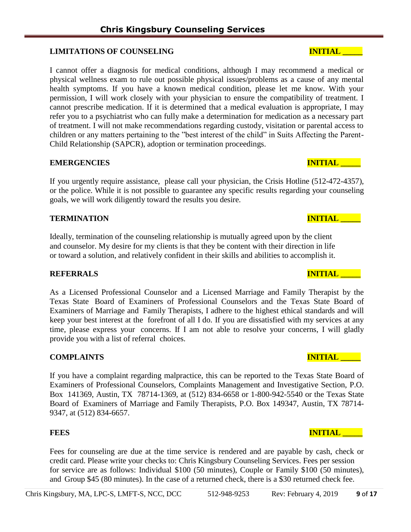## LIMITATIONS OF COUNSELING **INITIAL LEADER INITIAL LEADER**

I cannot offer a diagnosis for medical conditions, although I may recommend a medical or physical wellness exam to rule out possible physical issues/problems as a cause of any mental health symptoms. If you have a known medical condition, please let me know. With your permission, I will work closely with your physician to ensure the compatibility of treatment. I cannot prescribe medication. If it is determined that a medical evaluation is appropriate, I may refer you to a psychiatrist who can fully make a determination for medication as a necessary part of treatment. I will not make recommendations regarding custody, visitation or parental access to children or any matters pertaining to the "best interest of the child" in Suits Affecting the Parent-Child Relationship (SAPCR), adoption or termination proceedings.

### **EMERGENCIES** INITIAL

If you urgently require assistance, please call your physician, the Crisis Hotline (512-472-4357), or the police. While it is not possible to guarantee any specific results regarding your counseling goals, we will work diligently toward the results you desire.

## **TERMINATION INITIAL**

Ideally, termination of the counseling relationship is mutually agreed upon by the client and counselor. My desire for my clients is that they be content with their direction in life or toward a solution, and relatively confident in their skills and abilities to accomplish it.

## **REFERRALS INITIAL**

As a Licensed Professional Counselor and a Licensed Marriage and Family Therapist by the Texas State Board of Examiners of Professional Counselors and the Texas State Board of Examiners of Marriage and Family Therapists, I adhere to the highest ethical standards and will keep your best interest at the forefront of all I do. If you are dissatisfied with my services at any time, please express your concerns. If I am not able to resolve your concerns, I will gladly provide you with a list of referral choices.

## **COMPLAINTS INITIAL**

If you have a complaint regarding malpractice, this can be reported to the Texas State Board of Examiners of Professional Counselors, Complaints Management and Investigative Section, P.O. Box 141369, Austin, TX 78714-1369, at (512) 834-6658 or 1-800-942-5540 or the Texas State Board of Examiners of Marriage and Family Therapists, P.O. Box 149347, Austin, TX 78714- 9347, at (512) 834-6657.

Fees for counseling are due at the time service is rendered and are payable by cash, check or credit card. Please write your checks to: Chris Kingsbury Counseling Services. Fees per session for service are as follows: Individual \$100 (50 minutes), Couple or Family \$100 (50 minutes), and Group \$45 (80 minutes). In the case of a returned check, there is a \$30 returned check fee.

## **FEES** INITIAL **INITIAL**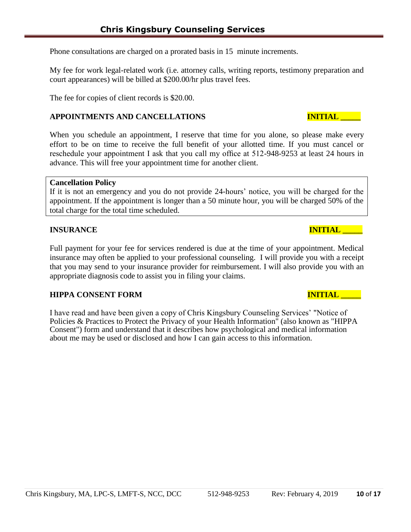Phone consultations are charged on a prorated basis in 15 minute increments.

My fee for work legal-related work (i.e. attorney calls, writing reports, testimony preparation and court appearances) will be billed at \$200.00/hr plus travel fees.

The fee for copies of client records is \$20.00.

## **APPOINTMENTS AND CANCELLATIONS INITIAL \_\_\_\_\_**

When you schedule an appointment, I reserve that time for you alone, so please make every effort to be on time to receive the full benefit of your allotted time. If you must cancel or reschedule your appointment I ask that you call my office at 512-948-9253 at least 24 hours in advance. This will free your appointment time for another client.

### **Cancellation Policy**

If it is not an emergency and you do not provide 24-hours' notice, you will be charged for the appointment. If the appointment is longer than a 50 minute hour, you will be charged 50% of the total charge for the total time scheduled.

### **INSURANCE INITIAL**

Full payment for your fee for services rendered is due at the time of your appointment. Medical insurance may often be applied to your professional counseling. I will provide you with a receipt that you may send to your insurance provider for reimbursement. I will also provide you with an appropriate diagnosis code to assist you in filing your claims.

### **HIPPA CONSENT FORM INITIAL RESERVE TO A LIGATION CONSENT FORM INITIAL RESERVE TO A LIGATION CONSERVER.**

I have read and have been given a copy of Chris Kingsbury Counseling Services' "Notice of Policies & Practices to Protect the Privacy of your Health Information" (also known as "HIPPA Consent") form and understand that it describes how psychological and medical information about me may be used or disclosed and how I can gain access to this information.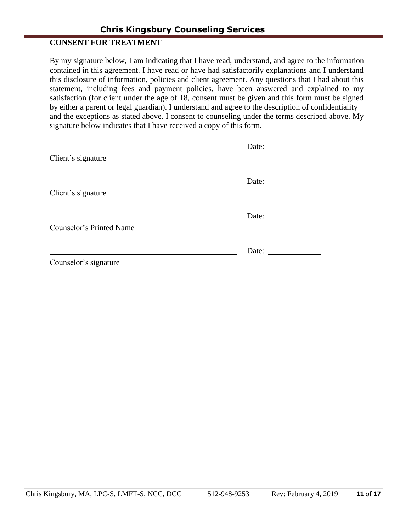# **CONSENT FOR TREATMENT**

By my signature below, I am indicating that I have read, understand, and agree to the information contained in this agreement. I have read or have had satisfactorily explanations and I understand this disclosure of information, policies and client agreement. Any questions that I had about this statement, including fees and payment policies, have been answered and explained to my satisfaction (for client under the age of 18, consent must be given and this form must be signed by either a parent or legal guardian). I understand and agree to the description of confidentiality and the exceptions as stated above. I consent to counseling under the terms described above. My signature below indicates that I have received a copy of this form.

|                          | Date:                                                                                                                                                                                                                                                                                                                                                                                                         |
|--------------------------|---------------------------------------------------------------------------------------------------------------------------------------------------------------------------------------------------------------------------------------------------------------------------------------------------------------------------------------------------------------------------------------------------------------|
| Client's signature       |                                                                                                                                                                                                                                                                                                                                                                                                               |
|                          | Date:                                                                                                                                                                                                                                                                                                                                                                                                         |
| Client's signature       |                                                                                                                                                                                                                                                                                                                                                                                                               |
|                          | Date: $\frac{1}{\sqrt{1-\frac{1}{2}}\sqrt{1-\frac{1}{2}}\sqrt{1-\frac{1}{2}}\sqrt{1-\frac{1}{2}}\sqrt{1-\frac{1}{2}}\sqrt{1-\frac{1}{2}}\sqrt{1-\frac{1}{2}}\sqrt{1-\frac{1}{2}}\sqrt{1-\frac{1}{2}}\sqrt{1-\frac{1}{2}}\sqrt{1-\frac{1}{2}}\sqrt{1-\frac{1}{2}}\sqrt{1-\frac{1}{2}}\sqrt{1-\frac{1}{2}}\sqrt{1-\frac{1}{2}}\sqrt{1-\frac{1}{2}}\sqrt{1-\frac{1}{2}}\sqrt{1-\frac{1}{2}}\sqrt{1-\frac{1}{2}}$ |
| Counselor's Printed Name |                                                                                                                                                                                                                                                                                                                                                                                                               |
|                          | Date:                                                                                                                                                                                                                                                                                                                                                                                                         |
| Counselor's signature    |                                                                                                                                                                                                                                                                                                                                                                                                               |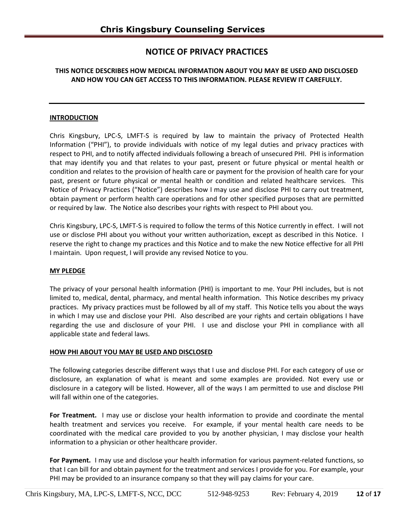# **NOTICE OF PRIVACY PRACTICES**

### **THIS NOTICE DESCRIBES HOW MEDICAL INFORMATION ABOUT YOU MAY BE USED AND DISCLOSED AND HOW YOU CAN GET ACCESS TO THIS INFORMATION. PLEASE REVIEW IT CAREFULLY.**

### **INTRODUCTION**

Chris Kingsbury, LPC-S, LMFT-S is required by law to maintain the privacy of Protected Health Information ("PHI"), to provide individuals with notice of my legal duties and privacy practices with respect to PHI, and to notify affected individuals following a breach of unsecured PHI. PHI is information that may identify you and that relates to your past, present or future physical or mental health or condition and relates to the provision of health care or payment for the provision of health care for your past, present or future physical or mental health or condition and related healthcare services. This Notice of Privacy Practices ("Notice") describes how I may use and disclose PHI to carry out treatment, obtain payment or perform health care operations and for other specified purposes that are permitted or required by law. The Notice also describes your rights with respect to PHI about you.

Chris Kingsbury, LPC-S, LMFT-S is required to follow the terms of this Notice currently in effect. I will not use or disclose PHI about you without your written authorization, except as described in this Notice. I reserve the right to change my practices and this Notice and to make the new Notice effective for all PHI I maintain. Upon request, I will provide any revised Notice to you.

### **MY PLEDGE**

The privacy of your personal health information (PHI) is important to me. Your PHI includes, but is not limited to, medical, dental, pharmacy, and mental health information. This Notice describes my privacy practices. My privacy practices must be followed by all of my staff. This Notice tells you about the ways in which I may use and disclose your PHI. Also described are your rights and certain obligations I have regarding the use and disclosure of your PHI. I use and disclose your PHI in compliance with all applicable state and federal laws.

### **HOW PHI ABOUT YOU MAY BE USED AND DISCLOSED**

The following categories describe different ways that I use and disclose PHI. For each category of use or disclosure, an explanation of what is meant and some examples are provided. Not every use or disclosure in a category will be listed. However, all of the ways I am permitted to use and disclose PHI will fall within one of the categories.

**For Treatment.** I may use or disclose your health information to provide and coordinate the mental health treatment and services you receive. For example, if your mental health care needs to be coordinated with the medical care provided to you by another physician, I may disclose your health information to a physician or other healthcare provider.

**For Payment.** I may use and disclose your health information for various payment-related functions, so that I can bill for and obtain payment for the treatment and services I provide for you. For example, your PHI may be provided to an insurance company so that they will pay claims for your care.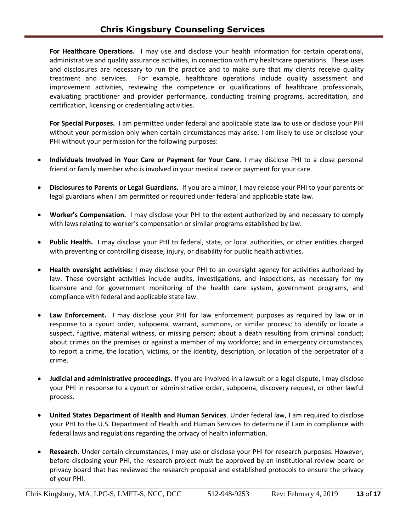**For Healthcare Operations.** I may use and disclose your health information for certain operational, administrative and quality assurance activities, in connection with my healthcare operations. These uses and disclosures are necessary to run the practice and to make sure that my clients receive quality treatment and services. For example, healthcare operations include quality assessment and improvement activities, reviewing the competence or qualifications of healthcare professionals, evaluating practitioner and provider performance, conducting training programs, accreditation, and certification, licensing or credentialing activities.

**For Special Purposes.** I am permitted under federal and applicable state law to use or disclose your PHI without your permission only when certain circumstances may arise. I am likely to use or disclose your PHI without your permission for the following purposes:

- **Individuals Involved in Your Care or Payment for Your Care**. I may disclose PHI to a close personal friend or family member who is involved in your medical care or payment for your care.
- **Disclosures to Parents or Legal Guardians.** If you are a minor, I may release your PHI to your parents or legal guardians when I am permitted or required under federal and applicable state law.
- **Worker's Compensation.** I may disclose your PHI to the extent authorized by and necessary to comply with laws relating to worker's compensation or similar programs established by law.
- **Public Health.** I may disclose your PHI to federal, state, or local authorities, or other entities charged with preventing or controlling disease, injury, or disability for public health activities.
- **Health oversight activities:** I may disclose your PHI to an oversight agency for activities authorized by law. These oversight activities include audits, investigations, and inspections, as necessary for my licensure and for government monitoring of the health care system, government programs, and compliance with federal and applicable state law.
- **Law Enforcement.** I may disclose your PHI for law enforcement purposes as required by law or in response to a cyourt order, subpoena, warrant, summons, or similar process; to identify or locate a suspect, fugitive, material witness, or missing person; about a death resulting from criminal conduct; about crimes on the premises or against a member of my workforce; and in emergency circumstances, to report a crime, the location, victims, or the identity, description, or location of the perpetrator of a crime.
- **Judicial and administrative proceedings.** If you are involved in a lawsuit or a legal dispute, I may disclose your PHI in response to a cyourt or administrative order, subpoena, discovery request, or other lawful process.
- **United States Department of Health and Human Services**. Under federal law, I am required to disclose your PHI to the U.S. Department of Health and Human Services to determine if I am in compliance with federal laws and regulations regarding the privacy of health information.
- **Research.** Under certain circumstances, I may use or disclose your PHI for research purposes. However, before disclosing your PHI, the research project must be approved by an institutional review board or privacy board that has reviewed the research proposal and established protocols to ensure the privacy of your PHI.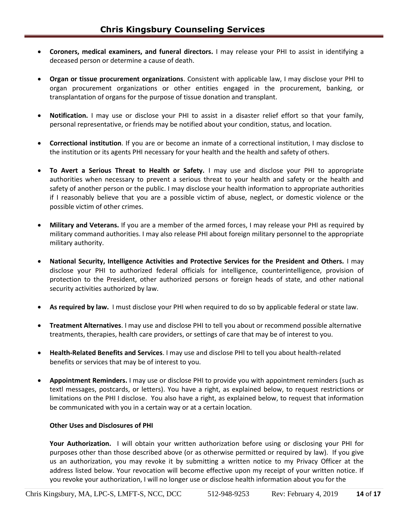- **Coroners, medical examiners, and funeral directors.** I may release your PHI to assist in identifying a deceased person or determine a cause of death.
- **Organ or tissue procurement organizations**. Consistent with applicable law, I may disclose your PHI to organ procurement organizations or other entities engaged in the procurement, banking, or transplantation of organs for the purpose of tissue donation and transplant.
- **Notification.** I may use or disclose your PHI to assist in a disaster relief effort so that your family, personal representative, or friends may be notified about your condition, status, and location.
- **Correctional institution**. If you are or become an inmate of a correctional institution, I may disclose to the institution or its agents PHI necessary for your health and the health and safety of others.
- **To Avert a Serious Threat to Health or Safety.** I may use and disclose your PHI to appropriate authorities when necessary to prevent a serious threat to your health and safety or the health and safety of another person or the public. I may disclose your health information to appropriate authorities if I reasonably believe that you are a possible victim of abuse, neglect, or domestic violence or the possible victim of other crimes.
- **Military and Veterans.** If you are a member of the armed forces, I may release your PHI as required by military command authorities. I may also release PHI about foreign military personnel to the appropriate military authority.
- **National Security, Intelligence Activities and Protective Services for the President and Others.** I may disclose your PHI to authorized federal officials for intelligence, counterintelligence, provision of protection to the President, other authorized persons or foreign heads of state, and other national security activities authorized by law.
- **As required by law.** I must disclose your PHI when required to do so by applicable federal or state law.
- **Treatment Alternatives**. I may use and disclose PHI to tell you about or recommend possible alternative treatments, therapies, health care providers, or settings of care that may be of interest to you.
- **Health-Related Benefits and Services**. I may use and disclose PHI to tell you about health-related benefits or services that may be of interest to you.
- **Appointment Reminders.** I may use or disclose PHI to provide you with appointment reminders (such as textl messages, postcards, or letters). You have a right, as explained below, to request restrictions or limitations on the PHI I disclose. You also have a right, as explained below, to request that information be communicated with you in a certain way or at a certain location.

### **Other Uses and Disclosures of PHI**

**Your Authorization.** I will obtain your written authorization before using or disclosing your PHI for purposes other than those described above (or as otherwise permitted or required by law). If you give us an authorization, you may revoke it by submitting a written notice to my Privacy Officer at the address listed below. Your revocation will become effective upon my receipt of your written notice. If you revoke your authorization, I will no longer use or disclose health information about you for the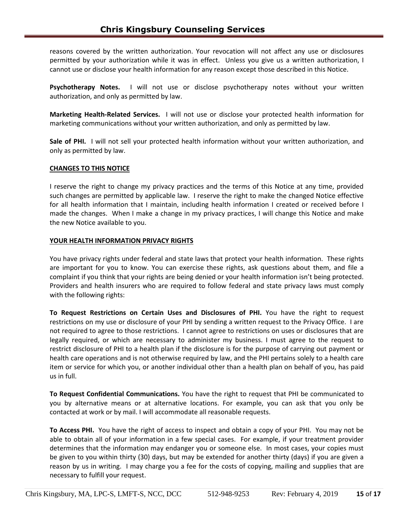reasons covered by the written authorization. Your revocation will not affect any use or disclosures permitted by your authorization while it was in effect. Unless you give us a written authorization, I cannot use or disclose your health information for any reason except those described in this Notice.

**Psychotherapy Notes.** I will not use or disclose psychotherapy notes without your written authorization, and only as permitted by law.

**Marketing Health-Related Services.** I will not use or disclose your protected health information for marketing communications without your written authorization, and only as permitted by law.

**Sale of PHI.** I will not sell your protected health information without your written authorization, and only as permitted by law.

### **CHANGES TO THIS NOTICE**

I reserve the right to change my privacy practices and the terms of this Notice at any time, provided such changes are permitted by applicable law. I reserve the right to make the changed Notice effective for all health information that I maintain, including health information I created or received before I made the changes. When I make a change in my privacy practices, I will change this Notice and make the new Notice available to you.

### **YOUR HEALTH INFORMATION PRIVACY RIGHTS**

You have privacy rights under federal and state laws that protect your health information. These rights are important for you to know. You can exercise these rights, ask questions about them, and file a complaint if you think that your rights are being denied or your health information isn't being protected. Providers and health insurers who are required to follow federal and state privacy laws must comply with the following rights:

**To Request Restrictions on Certain Uses and Disclosures of PHI.** You have the right to request restrictions on my use or disclosure of your PHI by sending a written request to the Privacy Office. I are not required to agree to those restrictions. I cannot agree to restrictions on uses or disclosures that are legally required, or which are necessary to administer my business. I must agree to the request to restrict disclosure of PHI to a health plan if the disclosure is for the purpose of carrying out payment or health care operations and is not otherwise required by law, and the PHI pertains solely to a health care item or service for which you, or another individual other than a health plan on behalf of you, has paid us in full.

**To Request Confidential Communications.** You have the right to request that PHI be communicated to you by alternative means or at alternative locations. For example, you can ask that you only be contacted at work or by mail. I will accommodate all reasonable requests.

**To Access PHI.** You have the right of access to inspect and obtain a copy of your PHI. You may not be able to obtain all of your information in a few special cases. For example, if your treatment provider determines that the information may endanger you or someone else. In most cases, your copies must be given to you within thirty (30) days, but may be extended for another thirty (days) if you are given a reason by us in writing. I may charge you a fee for the costs of copying, mailing and supplies that are necessary to fulfill your request.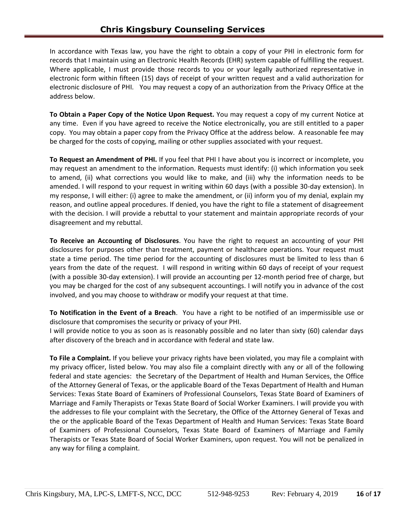In accordance with Texas law, you have the right to obtain a copy of your PHI in electronic form for records that I maintain using an Electronic Health Records (EHR) system capable of fulfilling the request. Where applicable, I must provide those records to you or your legally authorized representative in electronic form within fifteen (15) days of receipt of your written request and a valid authorization for electronic disclosure of PHI. You may request a copy of an authorization from the Privacy Office at the address below.

**To Obtain a Paper Copy of the Notice Upon Request.** You may request a copy of my current Notice at any time. Even if you have agreed to receive the Notice electronically, you are still entitled to a paper copy. You may obtain a paper copy from the Privacy Office at the address below. A reasonable fee may be charged for the costs of copying, mailing or other supplies associated with your request.

**To Request an Amendment of PHI.** If you feel that PHI I have about you is incorrect or incomplete, you may request an amendment to the information. Requests must identify: (i) which information you seek to amend, (ii) what corrections you would like to make, and (iii) why the information needs to be amended. I will respond to your request in writing within 60 days (with a possible 30-day extension). In my response, I will either: (i) agree to make the amendment, or (ii) inform you of my denial, explain my reason, and outline appeal procedures. If denied, you have the right to file a statement of disagreement with the decision. I will provide a rebuttal to your statement and maintain appropriate records of your disagreement and my rebuttal.

**To Receive an Accounting of Disclosures**. You have the right to request an accounting of your PHI disclosures for purposes other than treatment, payment or healthcare operations. Your request must state a time period. The time period for the accounting of disclosures must be limited to less than 6 years from the date of the request. I will respond in writing within 60 days of receipt of your request (with a possible 30-day extension). I will provide an accounting per 12-month period free of charge, but you may be charged for the cost of any subsequent accountings. I will notify you in advance of the cost involved, and you may choose to withdraw or modify your request at that time.

**To Notification in the Event of a Breach**. You have a right to be notified of an impermissible use or disclosure that compromises the security or privacy of your PHI.

I will provide notice to you as soon as is reasonably possible and no later than sixty (60) calendar days after discovery of the breach and in accordance with federal and state law.

**To File a Complaint.** If you believe your privacy rights have been violated, you may file a complaint with my privacy officer, listed below. You may also file a complaint directly with any or all of the following federal and state agencies: the Secretary of the Department of Health and Human Services, the Office of the Attorney General of Texas, or the applicable Board of the Texas Department of Health and Human Services: Texas State Board of Examiners of Professional Counselors, Texas State Board of Examiners of Marriage and Family Therapists or Texas State Board of Social Worker Examiners. I will provide you with the addresses to file your complaint with the Secretary, the Office of the Attorney General of Texas and the or the applicable Board of the Texas Department of Health and Human Services: Texas State Board of Examiners of Professional Counselors, Texas State Board of Examiners of Marriage and Family Therapists or Texas State Board of Social Worker Examiners, upon request. You will not be penalized in any way for filing a complaint.